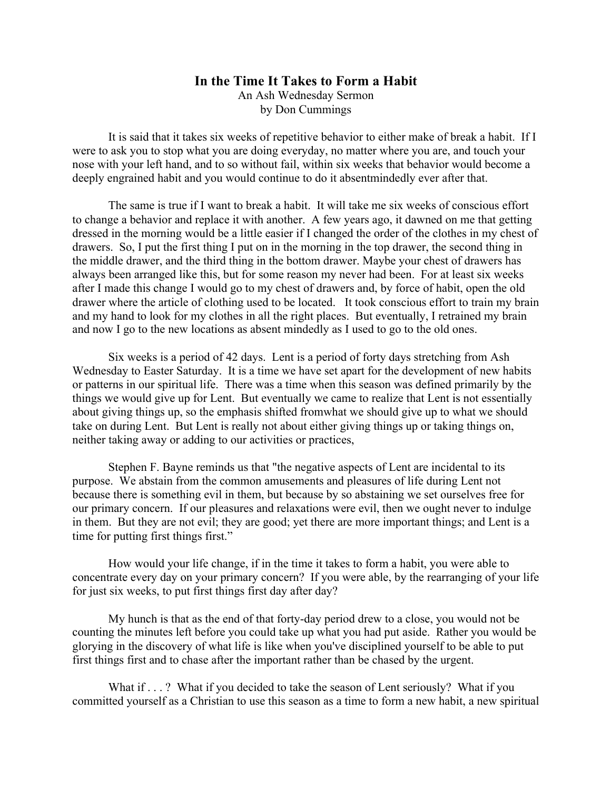## **In the Time It Takes to Form a Habit** An Ash Wednesday Sermon by Don Cummings

It is said that it takes six weeks of repetitive behavior to either make of break a habit. If I were to ask you to stop what you are doing everyday, no matter where you are, and touch your nose with your left hand, and to so without fail, within six weeks that behavior would become a deeply engrained habit and you would continue to do it absentmindedly ever after that.

The same is true if I want to break a habit. It will take me six weeks of conscious effort to change a behavior and replace it with another. A few years ago, it dawned on me that getting dressed in the morning would be a little easier if I changed the order of the clothes in my chest of drawers. So, I put the first thing I put on in the morning in the top drawer, the second thing in the middle drawer, and the third thing in the bottom drawer. Maybe your chest of drawers has always been arranged like this, but for some reason my never had been. For at least six weeks after I made this change I would go to my chest of drawers and, by force of habit, open the old drawer where the article of clothing used to be located. It took conscious effort to train my brain and my hand to look for my clothes in all the right places. But eventually, I retrained my brain and now I go to the new locations as absent mindedly as I used to go to the old ones.

Six weeks is a period of 42 days. Lent is a period of forty days stretching from Ash Wednesday to Easter Saturday. It is a time we have set apart for the development of new habits or patterns in our spiritual life. There was a time when this season was defined primarily by the things we would give up for Lent. But eventually we came to realize that Lent is not essentially about giving things up, so the emphasis shifted fromwhat we should give up to what we should take on during Lent. But Lent is really not about either giving things up or taking things on, neither taking away or adding to our activities or practices,

Stephen F. Bayne reminds us that "the negative aspects of Lent are incidental to its purpose. We abstain from the common amusements and pleasures of life during Lent not because there is something evil in them, but because by so abstaining we set ourselves free for our primary concern. If our pleasures and relaxations were evil, then we ought never to indulge in them. But they are not evil; they are good; yet there are more important things; and Lent is a time for putting first things first."

How would your life change, if in the time it takes to form a habit, you were able to concentrate every day on your primary concern? If you were able, by the rearranging of your life for just six weeks, to put first things first day after day?

My hunch is that as the end of that forty-day period drew to a close, you would not be counting the minutes left before you could take up what you had put aside. Rather you would be glorying in the discovery of what life is like when you've disciplined yourself to be able to put first things first and to chase after the important rather than be chased by the urgent.

What if . . . ? What if you decided to take the season of Lent seriously? What if you committed yourself as a Christian to use this season as a time to form a new habit, a new spiritual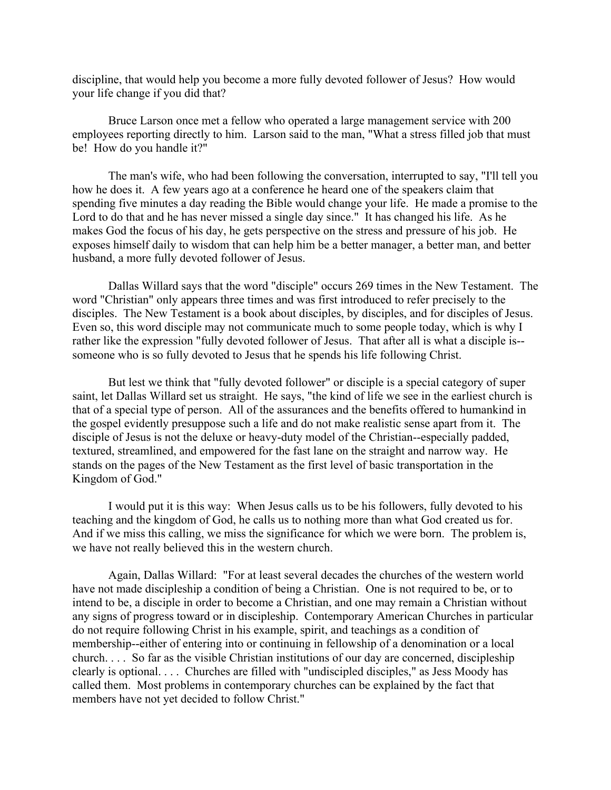discipline, that would help you become a more fully devoted follower of Jesus? How would your life change if you did that?

Bruce Larson once met a fellow who operated a large management service with 200 employees reporting directly to him. Larson said to the man, "What a stress filled job that must be! How do you handle it?"

The man's wife, who had been following the conversation, interrupted to say, "I'll tell you how he does it. A few years ago at a conference he heard one of the speakers claim that spending five minutes a day reading the Bible would change your life. He made a promise to the Lord to do that and he has never missed a single day since." It has changed his life. As he makes God the focus of his day, he gets perspective on the stress and pressure of his job. He exposes himself daily to wisdom that can help him be a better manager, a better man, and better husband, a more fully devoted follower of Jesus.

Dallas Willard says that the word "disciple" occurs 269 times in the New Testament. The word "Christian" only appears three times and was first introduced to refer precisely to the disciples. The New Testament is a book about disciples, by disciples, and for disciples of Jesus. Even so, this word disciple may not communicate much to some people today, which is why I rather like the expression "fully devoted follower of Jesus. That after all is what a disciple is- someone who is so fully devoted to Jesus that he spends his life following Christ.

But lest we think that "fully devoted follower" or disciple is a special category of super saint, let Dallas Willard set us straight. He says, "the kind of life we see in the earliest church is that of a special type of person. All of the assurances and the benefits offered to humankind in the gospel evidently presuppose such a life and do not make realistic sense apart from it. The disciple of Jesus is not the deluxe or heavy-duty model of the Christian--especially padded, textured, streamlined, and empowered for the fast lane on the straight and narrow way. He stands on the pages of the New Testament as the first level of basic transportation in the Kingdom of God."

I would put it is this way: When Jesus calls us to be his followers, fully devoted to his teaching and the kingdom of God, he calls us to nothing more than what God created us for. And if we miss this calling, we miss the significance for which we were born. The problem is, we have not really believed this in the western church.

Again, Dallas Willard: "For at least several decades the churches of the western world have not made discipleship a condition of being a Christian. One is not required to be, or to intend to be, a disciple in order to become a Christian, and one may remain a Christian without any signs of progress toward or in discipleship. Contemporary American Churches in particular do not require following Christ in his example, spirit, and teachings as a condition of membership--either of entering into or continuing in fellowship of a denomination or a local church. . . . So far as the visible Christian institutions of our day are concerned, discipleship clearly is optional. . . . Churches are filled with "undiscipled disciples," as Jess Moody has called them. Most problems in contemporary churches can be explained by the fact that members have not yet decided to follow Christ."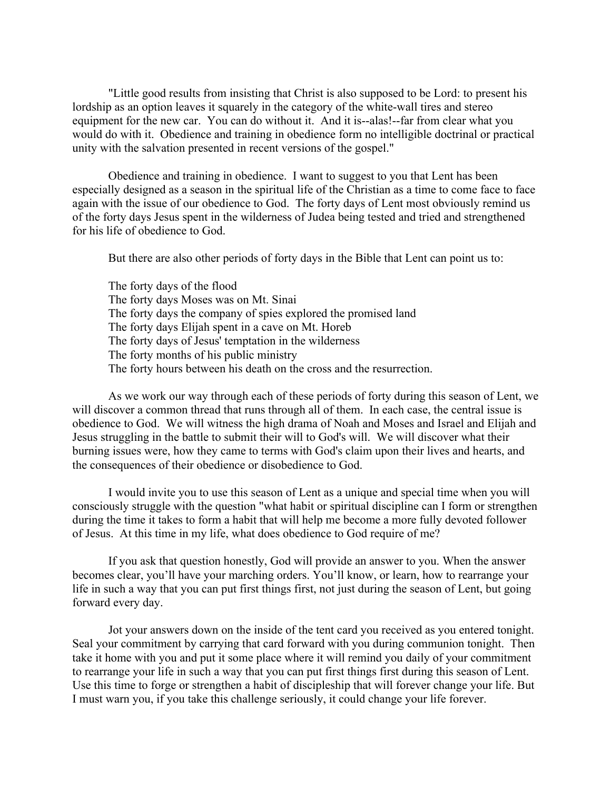"Little good results from insisting that Christ is also supposed to be Lord: to present his lordship as an option leaves it squarely in the category of the white-wall tires and stereo equipment for the new car. You can do without it. And it is--alas!--far from clear what you would do with it. Obedience and training in obedience form no intelligible doctrinal or practical unity with the salvation presented in recent versions of the gospel."

Obedience and training in obedience. I want to suggest to you that Lent has been especially designed as a season in the spiritual life of the Christian as a time to come face to face again with the issue of our obedience to God. The forty days of Lent most obviously remind us of the forty days Jesus spent in the wilderness of Judea being tested and tried and strengthened for his life of obedience to God.

But there are also other periods of forty days in the Bible that Lent can point us to:

The forty days of the flood The forty days Moses was on Mt. Sinai The forty days the company of spies explored the promised land The forty days Elijah spent in a cave on Mt. Horeb The forty days of Jesus' temptation in the wilderness The forty months of his public ministry The forty hours between his death on the cross and the resurrection.

As we work our way through each of these periods of forty during this season of Lent, we will discover a common thread that runs through all of them. In each case, the central issue is obedience to God. We will witness the high drama of Noah and Moses and Israel and Elijah and Jesus struggling in the battle to submit their will to God's will. We will discover what their burning issues were, how they came to terms with God's claim upon their lives and hearts, and the consequences of their obedience or disobedience to God.

I would invite you to use this season of Lent as a unique and special time when you will consciously struggle with the question "what habit or spiritual discipline can I form or strengthen during the time it takes to form a habit that will help me become a more fully devoted follower of Jesus. At this time in my life, what does obedience to God require of me?

If you ask that question honestly, God will provide an answer to you. When the answer becomes clear, you'll have your marching orders. You'll know, or learn, how to rearrange your life in such a way that you can put first things first, not just during the season of Lent, but going forward every day.

Jot your answers down on the inside of the tent card you received as you entered tonight. Seal your commitment by carrying that card forward with you during communion tonight. Then take it home with you and put it some place where it will remind you daily of your commitment to rearrange your life in such a way that you can put first things first during this season of Lent. Use this time to forge or strengthen a habit of discipleship that will forever change your life. But I must warn you, if you take this challenge seriously, it could change your life forever.